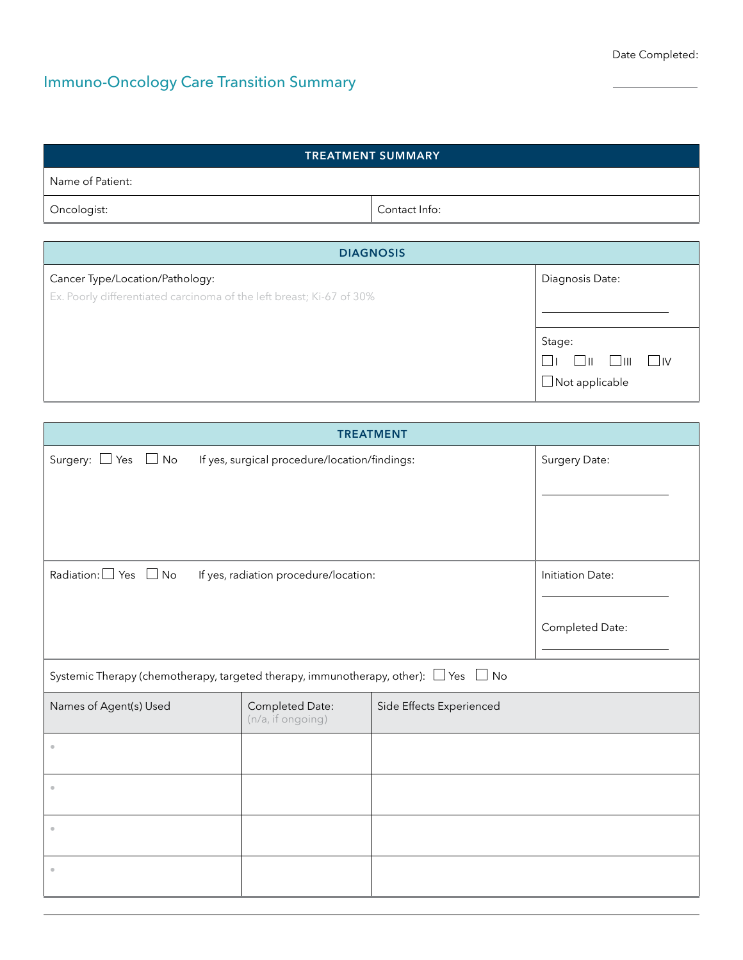# Immuno-Oncology Care Transition Summary

| <b>TREATMENT SUMMARY</b>                                             |               |                                                                          |  |  |
|----------------------------------------------------------------------|---------------|--------------------------------------------------------------------------|--|--|
| Name of Patient:                                                     |               |                                                                          |  |  |
| Oncologist:                                                          | Contact Info: |                                                                          |  |  |
|                                                                      |               |                                                                          |  |  |
| <b>DIAGNOSIS</b>                                                     |               |                                                                          |  |  |
| Cancer Type/Location/Pathology:                                      |               | Diagnosis Date:                                                          |  |  |
| Ex. Poorly differentiated carcinoma of the left breast; Ki-67 of 30% |               |                                                                          |  |  |
|                                                                      |               |                                                                          |  |  |
|                                                                      |               | Stage:                                                                   |  |  |
|                                                                      |               | $\mathsf{L}$<br>$\blacksquare$<br>$\Box \text{II} \quad \Box \text{III}$ |  |  |
|                                                                      |               | $\Box$ Not applicable                                                    |  |  |

| <b>TREATMENT</b>                                                                              |                                               |                          |               |  |
|-----------------------------------------------------------------------------------------------|-----------------------------------------------|--------------------------|---------------|--|
| Surgery: $\Box$ Yes $\Box$ No                                                                 | If yes, surgical procedure/location/findings: |                          | Surgery Date: |  |
|                                                                                               |                                               |                          |               |  |
|                                                                                               |                                               |                          |               |  |
| Radiation: $\square$ Yes $\square$ No<br>If yes, radiation procedure/location:                |                                               | Initiation Date:         |               |  |
|                                                                                               |                                               | Completed Date:          |               |  |
| Systemic Therapy (chemotherapy, targeted therapy, immunotherapy, other): $\Box$ Yes $\Box$ No |                                               |                          |               |  |
| Names of Agent(s) Used                                                                        | Completed Date:<br>(n/a, if ongoing)          | Side Effects Experienced |               |  |
| $\ddot{\phantom{a}}$                                                                          |                                               |                          |               |  |
| $\ddot{\phantom{a}}$                                                                          |                                               |                          |               |  |
|                                                                                               |                                               |                          |               |  |
|                                                                                               |                                               |                          |               |  |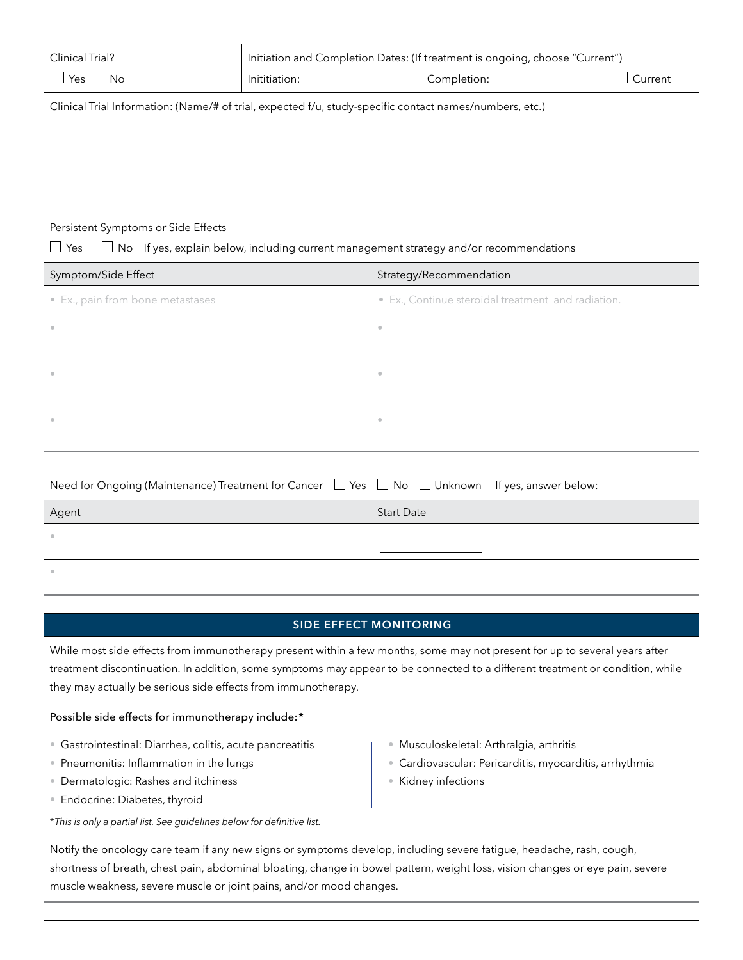| Clinical Trial?<br>Yes $\Box$ No<br>$\mathbf{L}$                                                        | Inititiation: _____________________ | Initiation and Completion Dates: (If treatment is ongoing, choose "Current")<br>Current |  |  |
|---------------------------------------------------------------------------------------------------------|-------------------------------------|-----------------------------------------------------------------------------------------|--|--|
| Clinical Trial Information: (Name/# of trial, expected f/u, study-specific contact names/numbers, etc.) |                                     |                                                                                         |  |  |
|                                                                                                         |                                     |                                                                                         |  |  |
|                                                                                                         |                                     |                                                                                         |  |  |
|                                                                                                         |                                     |                                                                                         |  |  |
| Persistent Symptoms or Side Effects                                                                     |                                     |                                                                                         |  |  |
| Yes<br>$\Box$ No If yes, explain below, including current management strategy and/or recommendations    |                                     |                                                                                         |  |  |
| Symptom/Side Effect                                                                                     |                                     | Strategy/Recommendation                                                                 |  |  |
| • Ex., pain from bone metastases                                                                        |                                     |                                                                                         |  |  |
|                                                                                                         |                                     | · Ex., Continue steroidal treatment and radiation.                                      |  |  |
|                                                                                                         |                                     | $\bullet$                                                                               |  |  |
|                                                                                                         |                                     |                                                                                         |  |  |
| $\bullet$                                                                                               |                                     | $\circ$                                                                                 |  |  |
|                                                                                                         |                                     |                                                                                         |  |  |
| $\bullet$                                                                                               |                                     | $\bullet$                                                                               |  |  |

| Need for Ongoing (Maintenance) Treatment for Cancer $\Box$ Yes $\Box$ No $\Box$ Unknown If yes, answer below: |                   |
|---------------------------------------------------------------------------------------------------------------|-------------------|
| Agent                                                                                                         | <b>Start Date</b> |
|                                                                                                               |                   |
|                                                                                                               |                   |
|                                                                                                               |                   |
|                                                                                                               |                   |

# **SIDE EFFECT MONITORING**

While most side effects from immunotherapy present within a few months, some may not present for up to several years after treatment discontinuation. In addition, some symptoms may appear to be connected to a different treatment or condition, while they may actually be serious side effects from immunotherapy.

# Possible side effects for immunotherapy include:\*

- Gastrointestinal: Diarrhea, colitis, acute pancreatitis
- Pneumonitis: Inflammation in the lungs
- Dermatologic: Rashes and itchiness
- Endocrine: Diabetes, thyroid
- \**This is only a partial list. See guidelines below for definitive list.*
- Musculoskeletal: Arthralgia, arthritis
- Cardiovascular: Pericarditis, myocarditis, arrhythmia
- Kidney infections

Notify the oncology care team if any new signs or symptoms develop, including severe fatigue, headache, rash, cough, shortness of breath, chest pain, abdominal bloating, change in bowel pattern, weight loss, vision changes or eye pain, severe muscle weakness, severe muscle or joint pains, and/or mood changes.